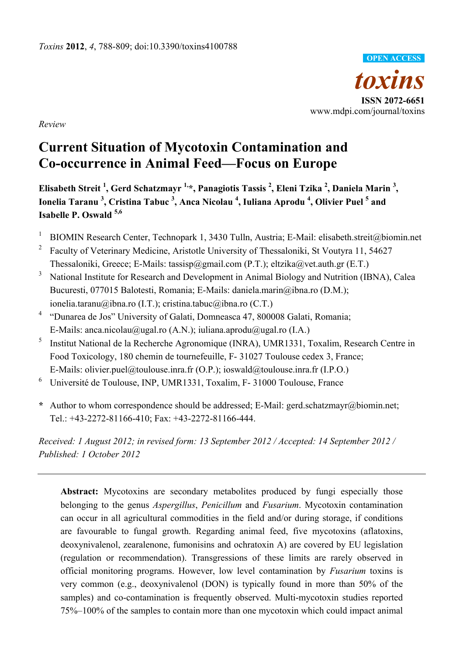

*Review* 

# **Current Situation of Mycotoxin Contamination and Co-occurrence in Animal Feed—Focus on Europe**

Elisabeth Streit <sup>1</sup>, Gerd Schatzmayr <sup>1,</sup>\*, Panagiotis Tassis <sup>2</sup>, Eleni Tzika <sup>2</sup>, Daniela Marin <sup>3</sup>, **Ionelia Taranu <sup>3</sup> , Cristina Tabuc 3 , Anca Nicolau <sup>4</sup> , Iuliana Aprodu <sup>4</sup> , Olivier Puel 5 and Isabelle P. Oswald 5,6** 

- 1 BIOMIN Research Center, Technopark 1, 3430 Tulln, Austria; E-Mail: elisabeth.streit@biomin.net
- <sup>2</sup> Faculty of Veterinary Medicine, Aristotle University of Thessaloniki, St Voutyra 11, 54627 Thessaloniki, Greece; E-Mails: tassisp@gmail.com (P.T.); eltzika@vet.auth.gr (E.T.)
- 3 National Institute for Research and Development in Animal Biology and Nutrition (IBNA), Calea Bucuresti, 077015 Balotesti, Romania; E-Mails: daniela.marin@ibna.ro (D.M.); ionelia.taranu@ibna.ro (I.T.); cristina.tabuc@ibna.ro (C.T.)
- <sup>4</sup> "Dunarea de Jos" University of Galati, Domneasca 47, 800008 Galati, Romania; E-Mails: anca.nicolau@ugal.ro (A.N.); iuliana.aprodu@ugal.ro (I.A.)
- 5 Institut National de la Recherche Agronomique (INRA), UMR1331, Toxalim, Research Centre in Food Toxicology, 180 chemin de tournefeuille, F- 31027 Toulouse cedex 3, France; E-Mails: olivier.puel@toulouse.inra.fr (O.P.); ioswald@toulouse.inra.fr (I.P.O.)
- 6 Université de Toulouse, INP, UMR1331, Toxalim, F- 31000 Toulouse, France
- **\*** Author to whom correspondence should be addressed; E-Mail: gerd.schatzmayr@biomin.net; Tel.: +43-2272-81166-410; Fax: +43-2272-81166-444.

*Received: 1 August 2012; in revised form: 13 September 2012 / Accepted: 14 September 2012 / Published: 1 October 2012* 

Abstract: Mycotoxins are secondary metabolites produced by fungi especially those belonging to the genus *Aspergillus*, *Penicillum* and *Fusarium*. Mycotoxin contamination can occur in all agricultural commodities in the field and/or during storage, if conditions are favourable to fungal growth. Regarding animal feed, five mycotoxins (aflatoxins, deoxynivalenol, zearalenone, fumonisins and ochratoxin A) are covered by EU legislation (regulation or recommendation). Transgressions of these limits are rarely observed in official monitoring programs. However, low level contamination by *Fusarium* toxins is very common (e.g., deoxynivalenol (DON) is typically found in more than 50% of the samples) and co-contamination is frequently observed. Multi-mycotoxin studies reported 75%–100% of the samples to contain more than one mycotoxin which could impact animal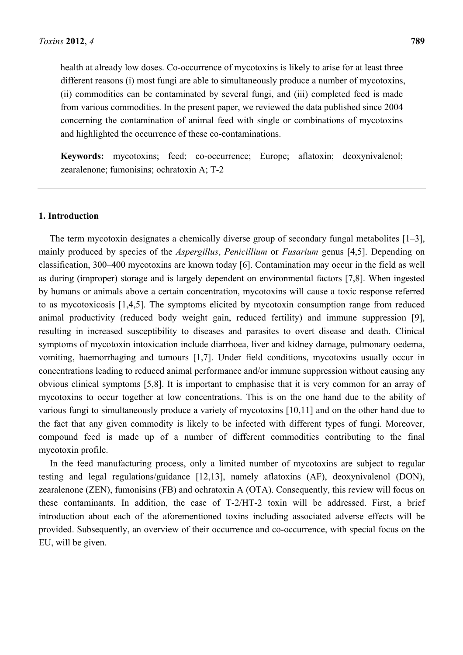health at already low doses. Co-occurrence of mycotoxins is likely to arise for at least three different reasons (i) most fungi are able to simultaneously produce a number of mycotoxins, (ii) commodities can be contaminated by several fungi, and (iii) completed feed is made from various commodities. In the present paper, we reviewed the data published since 2004 concerning the contamination of animal feed with single or combinations of mycotoxins and highlighted the occurrence of these co-contaminations.

**Keywords:** mycotoxins; feed; co-occurrence; Europe; aflatoxin; deoxynivalenol; zearalenone; fumonisins; ochratoxin A; T-2

#### **1. Introduction**

The term mycotoxin designates a chemically diverse group of secondary fungal metabolites [1–3], mainly produced by species of the *Aspergillus*, *Penicillium* or *Fusarium* genus [4,5]. Depending on classification, 300–400 mycotoxins are known today [6]. Contamination may occur in the field as well as during (improper) storage and is largely dependent on environmental factors [7,8]. When ingested by humans or animals above a certain concentration, mycotoxins will cause a toxic response referred to as mycotoxicosis [1,4,5]. The symptoms elicited by mycotoxin consumption range from reduced animal productivity (reduced body weight gain, reduced fertility) and immune suppression [9], resulting in increased susceptibility to diseases and parasites to overt disease and death. Clinical symptoms of mycotoxin intoxication include diarrhoea, liver and kidney damage, pulmonary oedema, vomiting, haemorrhaging and tumours [1,7]. Under field conditions, mycotoxins usually occur in concentrations leading to reduced animal performance and/or immune suppression without causing any obvious clinical symptoms [5,8]. It is important to emphasise that it is very common for an array of mycotoxins to occur together at low concentrations. This is on the one hand due to the ability of various fungi to simultaneously produce a variety of mycotoxins [10,11] and on the other hand due to the fact that any given commodity is likely to be infected with different types of fungi. Moreover, compound feed is made up of a number of different commodities contributing to the final mycotoxin profile.

In the feed manufacturing process, only a limited number of mycotoxins are subject to regular testing and legal regulations/guidance [12,13], namely aflatoxins (AF), deoxynivalenol (DON), zearalenone (ZEN), fumonisins (FB) and ochratoxin A (OTA). Consequently, this review will focus on these contaminants. In addition, the case of T-2/HT-2 toxin will be addressed. First, a brief introduction about each of the aforementioned toxins including associated adverse effects will be provided. Subsequently, an overview of their occurrence and co-occurrence, with special focus on the EU, will be given.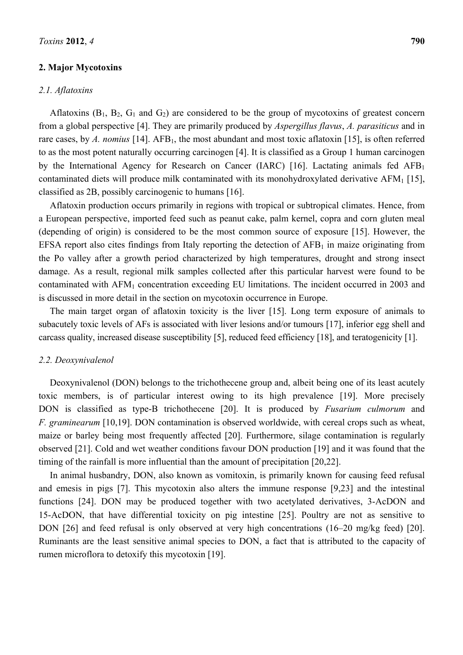# **2. Major Mycotoxins**

#### *2.1. Aflatoxins*

Aflatoxins  $(B_1, B_2, G_1, A_2)$  are considered to be the group of mycotoxins of greatest concern from a global perspective [4]. They are primarily produced by *Aspergillus flavus*, *A. parasiticus* and in rare cases, by A. nomius <sup>[14]</sup>. AFB<sub>1</sub>, the most abundant and most toxic aflatoxin <sup>[15]</sup>, is often referred to as the most potent naturally occurring carcinogen [4]. It is classified as a Group 1 human carcinogen by the International Agency for Research on Cancer (IARC) [16]. Lactating animals fed  $AFB<sub>1</sub>$ contaminated diets will produce milk contaminated with its monohydroxylated derivative  $AFM<sub>1</sub>$  [15], classified as 2B, possibly carcinogenic to humans [16].

Aflatoxin production occurs primarily in regions with tropical or subtropical climates. Hence, from a European perspective, imported feed such as peanut cake, palm kernel, copra and corn gluten meal (depending of origin) is considered to be the most common source of exposure [15]. However, the EFSA report also cites findings from Italy reporting the detection of  $AFB<sub>1</sub>$  in maize originating from the Po valley after a growth period characterized by high temperatures, drought and strong insect damage. As a result, regional milk samples collected after this particular harvest were found to be contaminated with AFM<sub>1</sub> concentration exceeding EU limitations. The incident occurred in 2003 and is discussed in more detail in the section on mycotoxin occurrence in Europe.

The main target organ of aflatoxin toxicity is the liver [15]. Long term exposure of animals to subacutely toxic levels of AFs is associated with liver lesions and/or tumours [17], inferior egg shell and carcass quality, increased disease susceptibility [5], reduced feed efficiency [18], and teratogenicity [1].

#### *2.2. Deoxynivalenol*

Deoxynivalenol (DON) belongs to the trichothecene group and, albeit being one of its least acutely toxic members, is of particular interest owing to its high prevalence [19]. More precisely DON is classified as type-B trichothecene [20]. It is produced by *Fusarium culmorum* and *F. graminearum* [10,19]. DON contamination is observed worldwide, with cereal crops such as wheat, maize or barley being most frequently affected [20]. Furthermore, silage contamination is regularly observed [21]. Cold and wet weather conditions favour DON production [19] and it was found that the timing of the rainfall is more influential than the amount of precipitation [20,22].

In animal husbandry, DON, also known as vomitoxin, is primarily known for causing feed refusal and emesis in pigs [7]. This mycotoxin also alters the immune response [9,23] and the intestinal functions [24]. DON may be produced together with two acetylated derivatives, 3-AcDON and 15-AcDON, that have differential toxicity on pig intestine [25]. Poultry are not as sensitive to DON [26] and feed refusal is only observed at very high concentrations (16–20 mg/kg feed) [20]. Ruminants are the least sensitive animal species to DON, a fact that is attributed to the capacity of rumen microflora to detoxify this mycotoxin [19].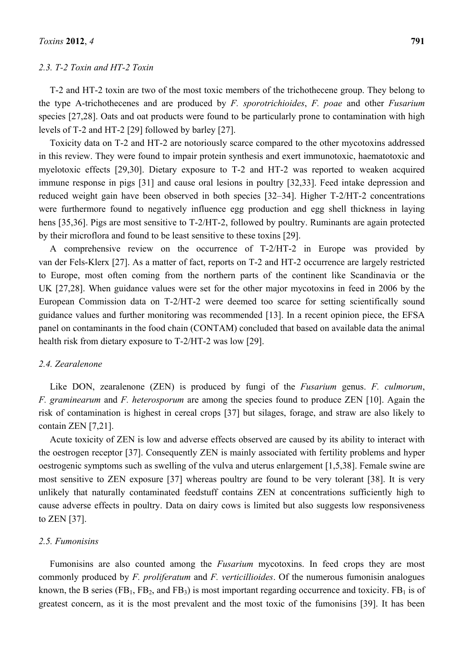#### *2.3. T-2 Toxin and HT-2 Toxin*

T-2 and HT-2 toxin are two of the most toxic members of the trichothecene group. They belong to the type A-trichothecenes and are produced by *F. sporotrichioides*, *F. poae* and other *Fusarium* species [27,28]. Oats and oat products were found to be particularly prone to contamination with high levels of T-2 and HT-2 [29] followed by barley [27].

Toxicity data on T-2 and HT-2 are notoriously scarce compared to the other mycotoxins addressed in this review. They were found to impair protein synthesis and exert immunotoxic, haematotoxic and myelotoxic effects [29,30]. Dietary exposure to T-2 and HT-2 was reported to weaken acquired immune response in pigs [31] and cause oral lesions in poultry [32,33]. Feed intake depression and reduced weight gain have been observed in both species [32–34]. Higher T-2/HT-2 concentrations were furthermore found to negatively influence egg production and egg shell thickness in laying hens [35,36]. Pigs are most sensitive to T-2/HT-2, followed by poultry. Ruminants are again protected by their microflora and found to be least sensitive to these toxins [29].

A comprehensive review on the occurrence of T-2/HT-2 in Europe was provided by van der Fels-Klerx [27]. As a matter of fact, reports on T-2 and HT-2 occurrence are largely restricted to Europe, most often coming from the northern parts of the continent like Scandinavia or the UK [27,28]. When guidance values were set for the other major mycotoxins in feed in 2006 by the European Commission data on T-2/HT-2 were deemed too scarce for setting scientifically sound guidance values and further monitoring was recommended [13]. In a recent opinion piece, the EFSA panel on contaminants in the food chain (CONTAM) concluded that based on available data the animal health risk from dietary exposure to T-2/HT-2 was low [29].

# *2.4. Zearalenone*

Like DON, zearalenone (ZEN) is produced by fungi of the *Fusarium* genus. *F. culmorum*, *F. graminearum* and *F. heterosporum* are among the species found to produce ZEN [10]. Again the risk of contamination is highest in cereal crops [37] but silages, forage, and straw are also likely to contain ZEN [7,21].

Acute toxicity of ZEN is low and adverse effects observed are caused by its ability to interact with the oestrogen receptor [37]. Consequently ZEN is mainly associated with fertility problems and hyper oestrogenic symptoms such as swelling of the vulva and uterus enlargement [1,5,38]. Female swine are most sensitive to ZEN exposure [37] whereas poultry are found to be very tolerant [38]. It is very unlikely that naturally contaminated feedstuff contains ZEN at concentrations sufficiently high to cause adverse effects in poultry. Data on dairy cows is limited but also suggests low responsiveness to ZEN [37].

# *2.5. Fumonisins*

Fumonisins are also counted among the *Fusarium* mycotoxins. In feed crops they are most commonly produced by *F. proliferatum* and *F. verticillioides*. Of the numerous fumonisin analogues known, the B series (FB<sub>1</sub>, FB<sub>2</sub>, and FB<sub>3</sub>) is most important regarding occurrence and toxicity. FB<sub>1</sub> is of greatest concern, as it is the most prevalent and the most toxic of the fumonisins [39]. It has been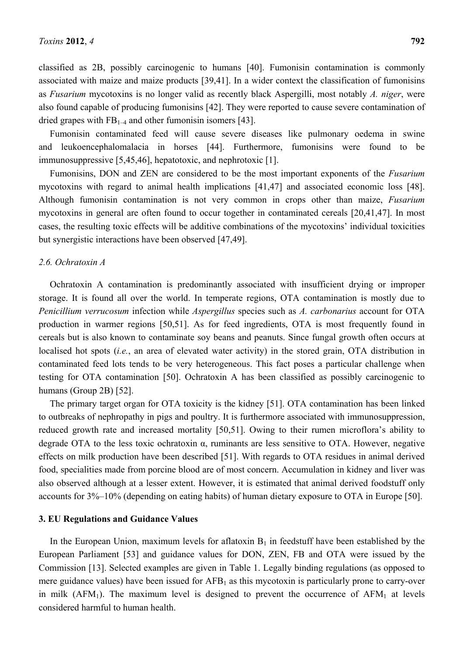classified as 2B, possibly carcinogenic to humans [40]. Fumonisin contamination is commonly associated with maize and maize products [39,41]. In a wider context the classification of fumonisins as *Fusarium* mycotoxins is no longer valid as recently black Aspergilli, most notably *A. niger*, were also found capable of producing fumonisins [42]. They were reported to cause severe contamination of dried grapes with  $FB_{1-4}$  and other fumonisin isomers [43].

Fumonisin contaminated feed will cause severe diseases like pulmonary oedema in swine and leukoencephalomalacia in horses [44]. Furthermore, fumonisins were found to be immunosuppressive [5,45,46], hepatotoxic, and nephrotoxic [1].

Fumonisins, DON and ZEN are considered to be the most important exponents of the *Fusarium* mycotoxins with regard to animal health implications [41,47] and associated economic loss [48]. Although fumonisin contamination is not very common in crops other than maize, *Fusarium* mycotoxins in general are often found to occur together in contaminated cereals [20,41,47]. In most cases, the resulting toxic effects will be additive combinations of the mycotoxins' individual toxicities but synergistic interactions have been observed [47,49].

### *2.6. Ochratoxin A*

Ochratoxin A contamination is predominantly associated with insufficient drying or improper storage. It is found all over the world. In temperate regions, OTA contamination is mostly due to *Penicillium verrucosum* infection while *Aspergillus* species such as *A. carbonarius* account for OTA production in warmer regions [50,51]. As for feed ingredients, OTA is most frequently found in cereals but is also known to contaminate soy beans and peanuts. Since fungal growth often occurs at localised hot spots (*i.e.*, an area of elevated water activity) in the stored grain, OTA distribution in contaminated feed lots tends to be very heterogeneous. This fact poses a particular challenge when testing for OTA contamination [50]. Ochratoxin A has been classified as possibly carcinogenic to humans (Group 2B) [52].

The primary target organ for OTA toxicity is the kidney [51]. OTA contamination has been linked to outbreaks of nephropathy in pigs and poultry. It is furthermore associated with immunosuppression, reduced growth rate and increased mortality [50,51]. Owing to their rumen microflora's ability to degrade OTA to the less toxic ochratoxin α, ruminants are less sensitive to OTA. However, negative effects on milk production have been described [51]. With regards to OTA residues in animal derived food, specialities made from porcine blood are of most concern. Accumulation in kidney and liver was also observed although at a lesser extent. However, it is estimated that animal derived foodstuff only accounts for 3%–10% (depending on eating habits) of human dietary exposure to OTA in Europe [50].

### **3. EU Regulations and Guidance Values**

In the European Union, maximum levels for aflatoxin  $B_1$  in feedstuff have been established by the European Parliament [53] and guidance values for DON, ZEN, FB and OTA were issued by the Commission [13]. Selected examples are given in Table 1. Legally binding regulations (as opposed to mere guidance values) have been issued for  $AFB<sub>1</sub>$  as this mycotoxin is particularly prone to carry-over in milk  $(AFM<sub>1</sub>)$ . The maximum level is designed to prevent the occurrence of  $AFM<sub>1</sub>$  at levels considered harmful to human health.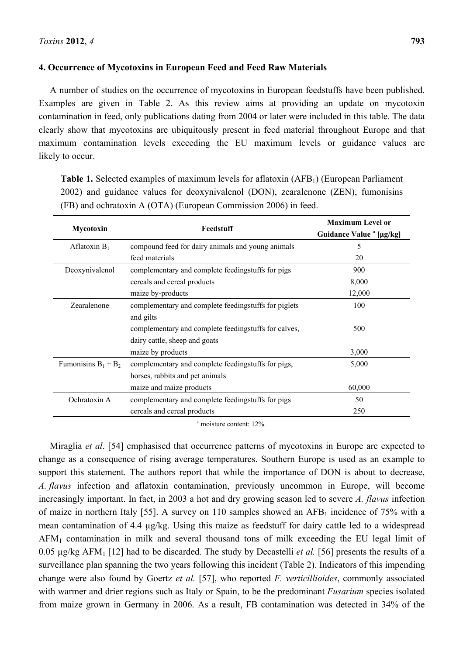# **4. Occurrence of Mycotoxins in European Feed and Feed Raw Materials**

A number of studies on the occurrence of mycotoxins in European feedstuffs have been published. Examples are given in Table 2. As this review aims at providing an update on mycotoxin contamination in feed, only publications dating from 2004 or later were included in this table. The data clearly show that mycotoxins are ubiquitously present in feed material throughout Europe and that maximum contamination levels exceeding the EU maximum levels or guidance values are likely to occur.

**Table 1.** Selected examples of maximum levels for aflatoxin (AFB<sub>1</sub>) (European Parliament 2002) and guidance values for deoxynivalenol (DON), zearalenone (ZEN), fumonisins (FB) and ochratoxin A (OTA) (European Commission 2006) in feed.

|                        | Feedstuff                                             | <b>Maximum Level or</b>             |
|------------------------|-------------------------------------------------------|-------------------------------------|
| Mycotoxin              |                                                       | Guidance Value <sup>a</sup> [µg/kg] |
| Aflatoxin $B_1$        | compound feed for dairy animals and young animals     | 5                                   |
|                        | feed materials                                        | 20                                  |
| Deoxynivalenol         | complementary and complete feedingstuffs for pigs     | 900                                 |
|                        | cereals and cereal products                           | 8,000                               |
|                        | maize by-products                                     | 12,000                              |
| Zearalenone            | complementary and complete feedingstuffs for piglets  | 100                                 |
|                        | and gilts                                             |                                     |
|                        | complementary and complete feeding stuffs for calves, | 500                                 |
|                        | dairy cattle, sheep and goats                         |                                     |
|                        | maize by products                                     | 3,000                               |
| Fumonisins $B_1 + B_2$ | complementary and complete feedingstuffs for pigs,    | 5,000                               |
|                        | horses, rabbits and pet animals                       |                                     |
|                        | maize and maize products                              | 60,000                              |
| Ochratoxin A           | complementary and complete feedingstuffs for pigs     | 50                                  |
|                        | cereals and cereal products                           | 250                                 |

<sup>a</sup> moisture content: 12%.

Miraglia *et al*. [54] emphasised that occurrence patterns of mycotoxins in Europe are expected to change as a consequence of rising average temperatures. Southern Europe is used as an example to support this statement. The authors report that while the importance of DON is about to decrease, *A. flavus* infection and aflatoxin contamination, previously uncommon in Europe, will become increasingly important. In fact, in 2003 a hot and dry growing season led to severe *A. flavus* infection of maize in northern Italy [55]. A survey on 110 samples showed an  $AFB<sub>1</sub>$  incidence of 75% with a mean contamination of 4.4 µg/kg. Using this maize as feedstuff for dairy cattle led to a widespread AFM1 contamination in milk and several thousand tons of milk exceeding the EU legal limit of 0.05 µg/kg AFM1 [12] had to be discarded. The study by Decastelli *et al.* [56] presents the results of a surveillance plan spanning the two years following this incident (Table 2). Indicators of this impending change were also found by Goertz *et al.* [57], who reported *F. verticillioides*, commonly associated with warmer and drier regions such as Italy or Spain, to be the predominant *Fusarium* species isolated from maize grown in Germany in 2006. As a result, FB contamination was detected in 34% of the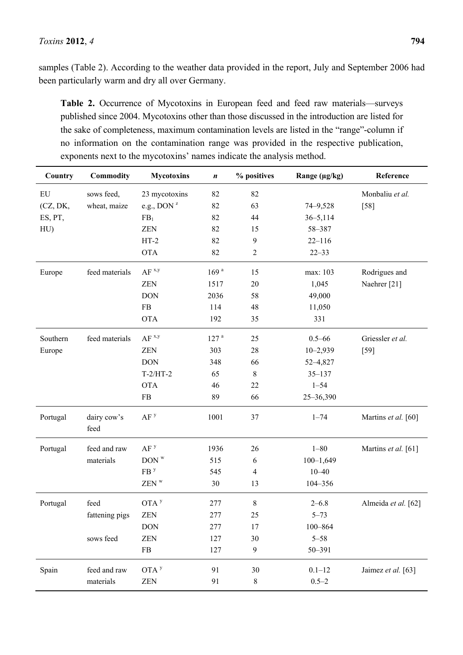samples (Table 2). According to the weather data provided in the report, July and September 2006 had been particularly warm and dry all over Germany.

**Table 2.** Occurrence of Mycotoxins in European feed and feed raw materials—surveys published since 2004. Mycotoxins other than those discussed in the introduction are listed for the sake of completeness, maximum contamination levels are listed in the "range"-column if no information on the contamination range was provided in the respective publication, exponents next to the mycotoxins' names indicate the analysis method.

| Country    | Commodity           | <b>Mycotoxins</b>                  | $\boldsymbol{n}$ | % positives      | Range (µg/kg) | Reference           |
|------------|---------------------|------------------------------------|------------------|------------------|---------------|---------------------|
| ${\rm EU}$ | sows feed,          | 23 mycotoxins                      | 82               | 82               |               | Monbaliu et al.     |
| (CZ, DK,   | wheat, maize        | e.g., DON $^z$                     | 82               | 63               | 74-9,528      | $[58]$              |
| ES, PT,    |                     | FB <sub>1</sub>                    | 82               | 44               | $36 - 5,114$  |                     |
| HU         |                     | <b>ZEN</b>                         | 82               | 15               | 58-387        |                     |
|            |                     | $HT-2$                             | 82               | $\boldsymbol{9}$ | $22 - 116$    |                     |
|            |                     | <b>OTA</b>                         | 82               | $\sqrt{2}$       | $22 - 33$     |                     |
| Europe     | feed materials      | $AF^x$                             | 169 <sup>a</sup> | 15               | max: 103      | Rodrigues and       |
|            |                     | <b>ZEN</b>                         | 1517             | 20               | 1,045         | Naehrer [21]        |
|            |                     | <b>DON</b>                         | 2036             | 58               | 49,000        |                     |
|            |                     | FB                                 | 114              | 48               | 11,050        |                     |
|            |                     | <b>OTA</b>                         | 192              | 35               | 331           |                     |
| Southern   | feed materials      | $AF^x$                             | 127 <sup>a</sup> | 25               | $0.5 - 66$    | Griessler et al.    |
| Europe     |                     | <b>ZEN</b>                         | 303              | 28               | $10 - 2,939$  | $[59]$              |
|            |                     | <b>DON</b>                         | 348              | 66               | 52-4,827      |                     |
|            |                     | $T-2/HT-2$                         | 65               | $\,8\,$          | $35 - 137$    |                     |
|            |                     | <b>OTA</b>                         | 46               | 22               | $1 - 54$      |                     |
|            |                     | FB                                 | 89               | 66               | 25-36,390     |                     |
| Portugal   | dairy cow's<br>feed | AF <sup>y</sup>                    | 1001             | 37               | $1 - 74$      | Martins et al. [60] |
| Portugal   | feed and raw        | AF <sup>y</sup>                    | 1936             | 26               | $1 - 80$      | Martins et al. [61] |
|            | materials           | $DOM^w$                            | 515              | 6                | $100 - 1,649$ |                     |
|            |                     | FB <sup>y</sup>                    | 545              | $\overline{4}$   | $10 - 40$     |                     |
|            |                     | $\mathsf{ZEN}\xspace^{\mathrm{w}}$ | 30               | 13               | 104-356       |                     |
| Portugal   | feed                | $OTA$ <sup>y</sup>                 | 277              | $\,8\,$          | $2 - 6.8$     | Almeida et al. [62] |
|            | fattening pigs      | ZEN                                | 277              | 25               | $5 - 73$      |                     |
|            |                     | <b>DON</b>                         | 277              | 17               | $100 - 864$   |                     |
|            | sows feed           | <b>ZEN</b>                         | 127              | 30               | $5 - 58$      |                     |
|            |                     | FB                                 | 127              | 9                | 50-391        |                     |
| Spain      | feed and raw        | $OTA$ <sup>y</sup>                 | 91               | 30               | $0.1 - 12$    | Jaimez et al. [63]  |
|            | materials           | ZEN                                | 91               | $8\,$            | $0.5 - 2$     |                     |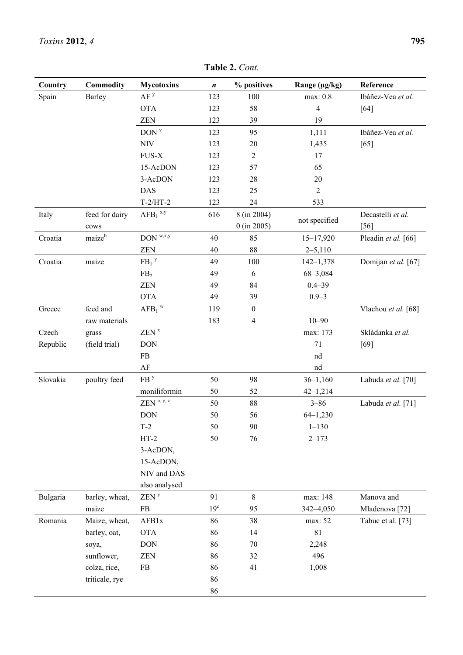| Country  | Commodity          | <b>Mycotoxins</b>             | $\boldsymbol{n}$ | % positives      | Range (µg/kg)  | Reference                 |
|----------|--------------------|-------------------------------|------------------|------------------|----------------|---------------------------|
| Spain    | Barley             | AF <sup>y</sup>               | 123              | 100              | max: 0.8       | Ibáñez-Vea et al.         |
|          |                    | <b>OTA</b>                    | 123              | 58               | $\overline{4}$ | [64]                      |
|          |                    | ZEN                           | 123              | 39               | 19             |                           |
|          |                    | DOM <sup>v</sup>              | 123              | 95               | 1,111          | Ibáñez-Vea et al.         |
|          |                    | <b>NIV</b>                    | 123              | 20               | 1,435          | [65]                      |
|          |                    | FUS-X                         | 123              | 2                | 17             |                           |
|          |                    | 15-AcDON                      | 123              | 57               | 65             |                           |
|          |                    | 3-AcDON                       | 123              | 28               | 20             |                           |
|          |                    | <b>DAS</b>                    | 123              | 25               | $\overline{2}$ |                           |
|          |                    | $T-2/HT-2$                    | 123              | 24               | 533            |                           |
| Italy    | feed for dairy     | $AFB_1$ <sup>x,y</sup>        | 616              | 8 (in 2004)      |                | Decastelli et al.         |
|          | cows               |                               |                  | $0$ (in 2005)    | not specified  | $[56]$                    |
| Croatia  | maize <sup>b</sup> | $DON^{w,x,y}$                 | 40               | 85               | $15 - 17,920$  | Pleadin et al. [66]       |
|          |                    | <b>ZEN</b>                    | 40               | 88               | $2 - 5,110$    |                           |
| Croatia  | maize              | $FB1$ <sup>y</sup>            | 49               | 100              | $142 - 1,378$  | Domijan et al. [67]       |
|          |                    | FB <sub>2</sub>               | 49               | 6                | $68 - 3,084$   |                           |
|          |                    | <b>ZEN</b>                    | 49               | 84               | $0.4 - 39$     |                           |
|          |                    | <b>OTA</b>                    | 49               | 39               | $0.9 - 3$      |                           |
| Greece   | feed and           | $\mathbf{AFB_1}^{\mathrm{w}}$ | 119              | $\boldsymbol{0}$ |                | Vlachou et al. [68]       |
|          | raw materials      |                               | 183              | 4                | $10 - 90$      |                           |
| Czech    | grass              | ZEN <sup>x</sup>              |                  |                  | max: 173       | Skládanka et al.          |
| Republic | (field trial)      | <b>DON</b>                    |                  |                  | 71             | $[69]$                    |
|          |                    | FB                            |                  |                  | nd             |                           |
|          |                    | AF                            |                  |                  | nd             |                           |
| Slovakia | poultry feed       | FB <sup>y</sup>               | 50               | 98               | $36 - 1,160$   | Labuda et al. [70]        |
|          |                    | moniliformin                  | 50               | 52               | $42 - 1,214$   |                           |
|          |                    | ZEN <sup>u, y, z</sup>        | 50               | 88               | $3 - 86$       | Labuda et al. [71]        |
|          |                    | <b>DON</b>                    | 50               | 56               | $64 - 1,230$   |                           |
|          |                    | $T-2$                         | 50               | $90\,$           | $1 - 130$      |                           |
|          |                    | $HT-2$                        | 50               | 76               | $2 - 173$      |                           |
|          |                    | 3-AcDON,                      |                  |                  |                |                           |
|          |                    | 15-AcDON,                     |                  |                  |                |                           |
|          |                    | NIV and DAS                   |                  |                  |                |                           |
|          |                    | also analysed                 |                  |                  |                |                           |
| Bulgaria | barley, wheat,     | ZEN <sup>y</sup>              | 91               | 8                | max: 148       | Manova and                |
|          | maize              | FB                            | 19 <sup>c</sup>  | 95               | 342-4,050      | Mladenova <sup>[72]</sup> |
| Romania  | Maize, wheat,      | AFB1x                         | 86               | 38               | max: 52        | Tabuc et al. [73]         |
|          | barley, oat,       | <b>OTA</b>                    | 86               | 14               | 81             |                           |
|          | soya,              | <b>DON</b>                    | 86               | $70\,$           | 2,248          |                           |
|          | sunflower,         | <b>ZEN</b>                    | 86               | 32               | 496            |                           |
|          | colza, rice,       | FB                            | 86               | 41               | 1,008          |                           |
|          | triticale, rye     |                               | 86               |                  |                |                           |
|          |                    |                               | 86               |                  |                |                           |

**Table 2.** *Cont.*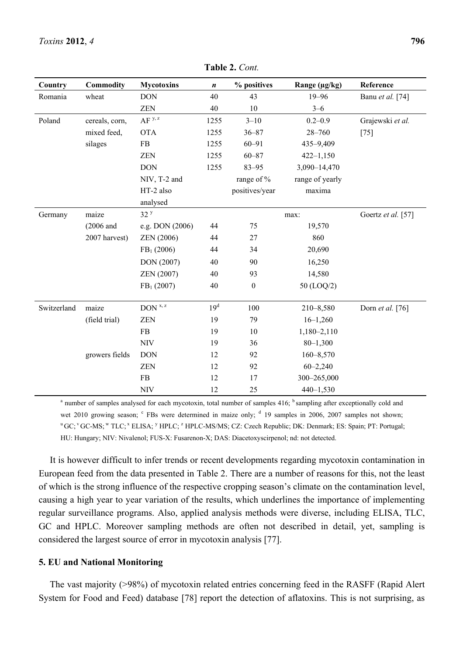| Country     | <b>Commodity</b> | <b>Mycotoxins</b>                  | $\boldsymbol{n}$ | % positives      | Range (µg/kg)   | Reference          |
|-------------|------------------|------------------------------------|------------------|------------------|-----------------|--------------------|
| Romania     | wheat            | <b>DON</b>                         | 40               | 43               | $19 - 96$       | Banu et al. [74]   |
|             |                  | <b>ZEN</b>                         | 40               | 10               | $3 - 6$         |                    |
| Poland      | cereals, corn,   | $AF^{y, z}$                        | 1255             | $3 - 10$         | $0.2 - 0.9$     | Grajewski et al.   |
|             | mixed feed,      | <b>OTA</b>                         | 1255             | $36 - 87$        | $28 - 760$      | $[75]$             |
|             | silages          | ${\rm FB}$                         | 1255             | $60 - 91$        | 435-9,409       |                    |
|             |                  | <b>ZEN</b>                         | 1255             | $60 - 87$        | $422 - 1,150$   |                    |
|             |                  | <b>DON</b>                         | 1255             | $83 - 95$        | 3,090-14,470    |                    |
|             |                  | NIV, T-2 and                       |                  | range of %       | range of yearly |                    |
|             |                  | HT-2 also                          |                  | positives/year   | maxima          |                    |
|             |                  | analysed                           |                  |                  |                 |                    |
| Germany     | maize            | 32 <sup>y</sup>                    |                  |                  | max:            | Goertz et al. [57] |
|             | $(2006$ and      | e.g. DON (2006)                    | 44               | 75               | 19,570          |                    |
|             | 2007 harvest)    | <b>ZEN</b> (2006)                  | 44               | $27\,$           | 860             |                    |
|             |                  | $FB1$ (2006)                       | 44               | 34               | 20,690          |                    |
|             |                  | DON (2007)                         | 40               | 90               | 16,250          |                    |
|             |                  | ZEN (2007)                         | 40               | 93               | 14,580          |                    |
|             |                  | FB <sub>1</sub> (2007)             | 40               | $\boldsymbol{0}$ | 50 (LOQ/2)      |                    |
|             |                  |                                    |                  |                  |                 |                    |
| Switzerland | maize            | $DOM$ <sup><math>x, z</math></sup> | 19 <sup>d</sup>  | 100              | $210 - 8,580$   | Dorn et al. [76]   |
|             | (field trial)    | ZEN                                | 19               | 79               | $16 - 1,260$    |                    |
|             |                  | FB                                 | 19               | $10\,$           | 1,180-2,110     |                    |
|             |                  | <b>NIV</b>                         | 19               | 36               | $80 - 1,300$    |                    |
|             | growers fields   | <b>DON</b>                         | 12               | 92               | $160 - 8,570$   |                    |
|             |                  | <b>ZEN</b>                         | 12               | 92               | $60 - 2,240$    |                    |
|             |                  | ${\rm FB}$                         | 12               | 17               | 300-265,000     |                    |
|             |                  | <b>NIV</b>                         | 12               | 25               | $440 - 1,530$   |                    |

**Table 2.** *Cont.* 

<sup>a</sup> number of samples analysed for each mycotoxin, total number of samples  $416$ ;  $\frac{b}{ }$  sampling after exceptionally cold and wet 2010 growing season;  $\epsilon$  FBs were determined in maize only;  $\epsilon$  19 samples in 2006, 2007 samples not shown; <sup>u</sup> GC; <sup>v</sup> GC-MS; <sup>w</sup> TLC; <sup>x</sup> ELISA; <sup>y</sup> HPLC; <sup>z</sup> HPLC-MS/MS; CZ: Czech Republic; DK: Denmark; ES: Spain; PT: Portugal; HU: Hungary; NIV: Nivalenol; FUS-X: Fusarenon-X; DAS: Diacetoxyscirpenol; nd: not detected.

It is however difficult to infer trends or recent developments regarding mycotoxin contamination in European feed from the data presented in Table 2. There are a number of reasons for this, not the least of which is the strong influence of the respective cropping season's climate on the contamination level, causing a high year to year variation of the results, which underlines the importance of implementing regular surveillance programs. Also, applied analysis methods were diverse, including ELISA, TLC, GC and HPLC. Moreover sampling methods are often not described in detail, yet, sampling is considered the largest source of error in mycotoxin analysis [77].

# **5. EU and National Monitoring**

The vast majority (>98%) of mycotoxin related entries concerning feed in the RASFF (Rapid Alert System for Food and Feed) database [78] report the detection of aflatoxins. This is not surprising, as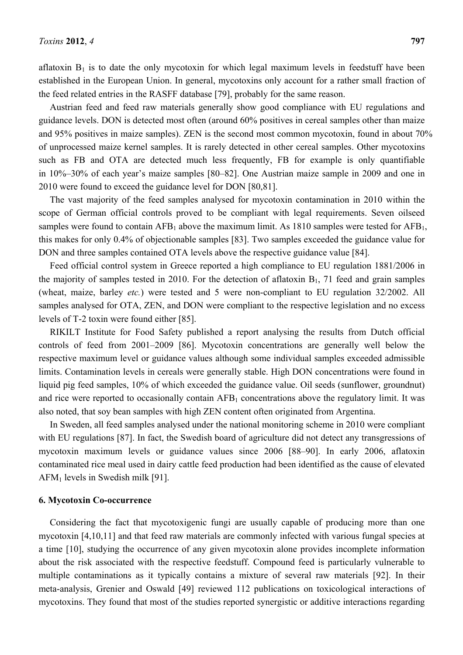aflatoxin  $B_1$  is to date the only mycotoxin for which legal maximum levels in feedstuff have been established in the European Union. In general, mycotoxins only account for a rather small fraction of the feed related entries in the RASFF database [79], probably for the same reason.

Austrian feed and feed raw materials generally show good compliance with EU regulations and guidance levels. DON is detected most often (around 60% positives in cereal samples other than maize and 95% positives in maize samples). ZEN is the second most common mycotoxin, found in about 70% of unprocessed maize kernel samples. It is rarely detected in other cereal samples. Other mycotoxins such as FB and OTA are detected much less frequently, FB for example is only quantifiable in 10%–30% of each year's maize samples [80–82]. One Austrian maize sample in 2009 and one in 2010 were found to exceed the guidance level for DON [80,81].

The vast majority of the feed samples analysed for mycotoxin contamination in 2010 within the scope of German official controls proved to be compliant with legal requirements. Seven oilseed samples were found to contain  $AFB_1$  above the maximum limit. As 1810 samples were tested for  $AFB_1$ , this makes for only 0.4% of objectionable samples [83]. Two samples exceeded the guidance value for DON and three samples contained OTA levels above the respective guidance value [84].

Feed official control system in Greece reported a high compliance to EU regulation 1881/2006 in the majority of samples tested in 2010. For the detection of aflatoxin  $B_1$ , 71 feed and grain samples (wheat, maize, barley *etc.*) were tested and 5 were non-compliant to EU regulation 32/2002. All samples analysed for OTA, ZEN, and DON were compliant to the respective legislation and no excess levels of T-2 toxin were found either [85].

RIKILT Institute for Food Safety published a report analysing the results from Dutch official controls of feed from 2001*–*2009 [86]. Mycotoxin concentrations are generally well below the respective maximum level or guidance values although some individual samples exceeded admissible limits. Contamination levels in cereals were generally stable. High DON concentrations were found in liquid pig feed samples, 10% of which exceeded the guidance value. Oil seeds (sunflower, groundnut) and rice were reported to occasionally contain  $AFB<sub>1</sub>$  concentrations above the regulatory limit. It was also noted, that soy bean samples with high ZEN content often originated from Argentina.

In Sweden, all feed samples analysed under the national monitoring scheme in 2010 were compliant with EU regulations [87]. In fact, the Swedish board of agriculture did not detect any transgressions of mycotoxin maximum levels or guidance values since 2006 [88–90]. In early 2006, aflatoxin contaminated rice meal used in dairy cattle feed production had been identified as the cause of elevated AFM1 levels in Swedish milk [91].

#### **6. Mycotoxin Co-occurrence**

Considering the fact that mycotoxigenic fungi are usually capable of producing more than one mycotoxin [4,10,11] and that feed raw materials are commonly infected with various fungal species at a time [10], studying the occurrence of any given mycotoxin alone provides incomplete information about the risk associated with the respective feedstuff. Compound feed is particularly vulnerable to multiple contaminations as it typically contains a mixture of several raw materials [92]. In their meta-analysis, Grenier and Oswald [49] reviewed 112 publications on toxicological interactions of mycotoxins. They found that most of the studies reported synergistic or additive interactions regarding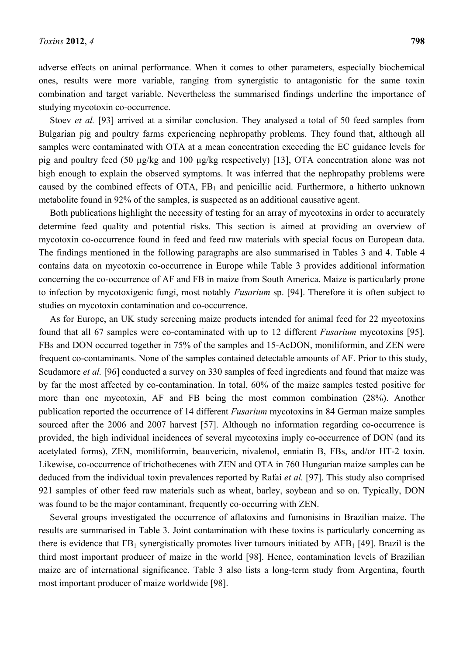adverse effects on animal performance. When it comes to other parameters, especially biochemical ones, results were more variable, ranging from synergistic to antagonistic for the same toxin combination and target variable. Nevertheless the summarised findings underline the importance of studying mycotoxin co-occurrence.

Stoev *et al.* [93] arrived at a similar conclusion. They analysed a total of 50 feed samples from Bulgarian pig and poultry farms experiencing nephropathy problems. They found that, although all samples were contaminated with OTA at a mean concentration exceeding the EC guidance levels for pig and poultry feed (50 µg/kg and 100 µg/kg respectively) [13], OTA concentration alone was not high enough to explain the observed symptoms. It was inferred that the nephropathy problems were caused by the combined effects of OTA,  $FB<sub>1</sub>$  and penicillic acid. Furthermore, a hitherto unknown metabolite found in 92% of the samples, is suspected as an additional causative agent.

Both publications highlight the necessity of testing for an array of mycotoxins in order to accurately determine feed quality and potential risks. This section is aimed at providing an overview of mycotoxin co-occurrence found in feed and feed raw materials with special focus on European data. The findings mentioned in the following paragraphs are also summarised in Tables 3 and 4. Table 4 contains data on mycotoxin co-occurrence in Europe while Table 3 provides additional information concerning the co-occurrence of AF and FB in maize from South America. Maize is particularly prone to infection by mycotoxigenic fungi, most notably *Fusarium* sp. [94]. Therefore it is often subject to studies on mycotoxin contamination and co-occurrence.

As for Europe, an UK study screening maize products intended for animal feed for 22 mycotoxins found that all 67 samples were co-contaminated with up to 12 different *Fusarium* mycotoxins [95]. FBs and DON occurred together in 75% of the samples and 15-AcDON, moniliformin, and ZEN were frequent co-contaminants. None of the samples contained detectable amounts of AF. Prior to this study, Scudamore *et al.* [96] conducted a survey on 330 samples of feed ingredients and found that maize was by far the most affected by co-contamination. In total, 60% of the maize samples tested positive for more than one mycotoxin, AF and FB being the most common combination (28%). Another publication reported the occurrence of 14 different *Fusarium* mycotoxins in 84 German maize samples sourced after the 2006 and 2007 harvest [57]. Although no information regarding co-occurrence is provided, the high individual incidences of several mycotoxins imply co-occurrence of DON (and its acetylated forms), ZEN, moniliformin, beauvericin, nivalenol, enniatin B, FBs, and/or HT-2 toxin. Likewise, co-occurrence of trichothecenes with ZEN and OTA in 760 Hungarian maize samples can be deduced from the individual toxin prevalences reported by Rafai *et al.* [97]. This study also comprised 921 samples of other feed raw materials such as wheat, barley, soybean and so on. Typically, DON was found to be the major contaminant, frequently co-occurring with ZEN.

Several groups investigated the occurrence of aflatoxins and fumonisins in Brazilian maize. The results are summarised in Table 3. Joint contamination with these toxins is particularly concerning as there is evidence that  $FB_1$  synergistically promotes liver tumours initiated by AFB<sub>1</sub> [49]. Brazil is the third most important producer of maize in the world [98]. Hence, contamination levels of Brazilian maize are of international significance. Table 3 also lists a long-term study from Argentina, fourth most important producer of maize worldwide [98].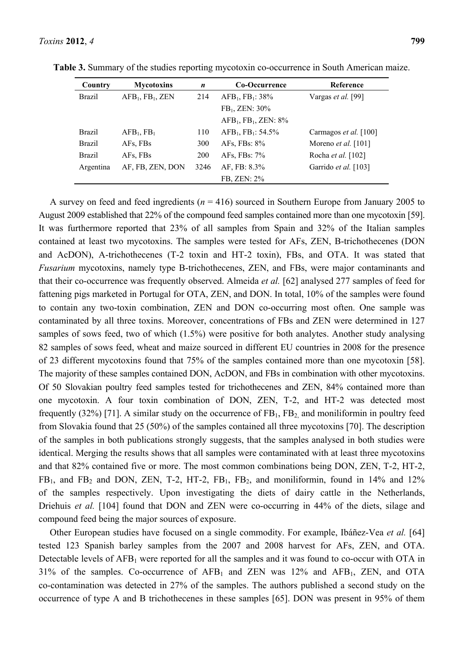|  | $\mathbf{1}$ $\mathbf{A}$ $\mathbf{1}$ |  |  |
|--|----------------------------------------|--|--|
|  |                                        |  |  |
|  |                                        |  |  |

| Country       | <b>Mycotoxins</b>                        | n          | Co-Occurrence                            | Reference                  |
|---------------|------------------------------------------|------------|------------------------------------------|----------------------------|
| <b>Brazil</b> | AFB <sub>1</sub> , FB <sub>1</sub> , ZEN | 214        | AFB <sub>1</sub> , FB <sub>1</sub> : 38% | Vargas et al. [99]         |
|               |                                          |            | $FB_1$ , ZEN: 30%                        |                            |
|               |                                          |            | $AFB1, FB1, ZEN: 8%$                     |                            |
| <b>Brazil</b> | $AFB_1, FB_1$                            | 110        | $AFB1, FB1: 54.5%$                       | Carmagos et al. [100]      |
| <b>Brazil</b> | AFs, FBs                                 | 300        | AFs, FBs: $8\%$                          | Moreno <i>et al.</i> [101] |
| <b>Brazil</b> | AFs, FBs                                 | <b>200</b> | AFs, FBs: $7\%$                          | Rocha <i>et al.</i> [102]  |
| Argentina     | AF, FB, ZEN, DON                         | 3246       | AF, FB: 8.3%                             | Garrido et al. [103]       |
|               |                                          |            | FB, ZEN: 2%                              |                            |

**Table 3.** Summary of the studies reporting mycotoxin co-occurrence in South American maize.

A survey on feed and feed ingredients (*n* = 416) sourced in Southern Europe from January 2005 to August 2009 established that 22% of the compound feed samples contained more than one mycotoxin [59]. It was furthermore reported that 23% of all samples from Spain and 32% of the Italian samples contained at least two mycotoxins. The samples were tested for AFs, ZEN, B-trichothecenes (DON and AcDON), A-trichothecenes (T-2 toxin and HT-2 toxin), FBs, and OTA. It was stated that *Fusarium* mycotoxins, namely type B-trichothecenes, ZEN, and FBs, were major contaminants and that their co-occurrence was frequently observed. Almeida *et al.* [62] analysed 277 samples of feed for fattening pigs marketed in Portugal for OTA, ZEN, and DON. In total, 10% of the samples were found to contain any two-toxin combination, ZEN and DON co-occurring most often. One sample was contaminated by all three toxins. Moreover, concentrations of FBs and ZEN were determined in 127 samples of sows feed, two of which (1.5%) were positive for both analytes. Another study analysing 82 samples of sows feed, wheat and maize sourced in different EU countries in 2008 for the presence of 23 different mycotoxins found that 75% of the samples contained more than one mycotoxin [58]. The majority of these samples contained DON, AcDON, and FBs in combination with other mycotoxins. Of 50 Slovakian poultry feed samples tested for trichothecenes and ZEN, 84% contained more than one mycotoxin. A four toxin combination of DON, ZEN, T-2, and HT-2 was detected most frequently (32%) [71]. A similar study on the occurrence of  $FB<sub>1</sub>$ ,  $FB<sub>2</sub>$  and moniliformin in poultry feed from Slovakia found that 25 (50%) of the samples contained all three mycotoxins [70]. The description of the samples in both publications strongly suggests, that the samples analysed in both studies were identical. Merging the results shows that all samples were contaminated with at least three mycotoxins and that 82% contained five or more. The most common combinations being DON, ZEN, T-2, HT-2,  $FB<sub>1</sub>$ , and  $FB<sub>2</sub>$  and DON, ZEN, T-2, HT-2,  $FB<sub>1</sub>$ ,  $FB<sub>2</sub>$ , and moniliformin, found in 14% and 12% of the samples respectively. Upon investigating the diets of dairy cattle in the Netherlands, Driehuis *et al.* [104] found that DON and ZEN were co-occurring in 44% of the diets, silage and compound feed being the major sources of exposure.

Other European studies have focused on a single commodity. For example, Ibáñez-Vea *et al.* [64] tested 123 Spanish barley samples from the 2007 and 2008 harvest for AFs, ZEN, and OTA. Detectable levels of  $AFB<sub>1</sub>$  were reported for all the samples and it was found to co-occur with OTA in 31% of the samples. Co-occurrence of  $AFB<sub>1</sub>$  and  $ZEN$  was 12% and  $AFB<sub>1</sub>$ ,  $ZEN$ , and  $OTA$ co-contamination was detected in 27% of the samples. The authors published a second study on the occurrence of type A and B trichothecenes in these samples [65]. DON was present in 95% of them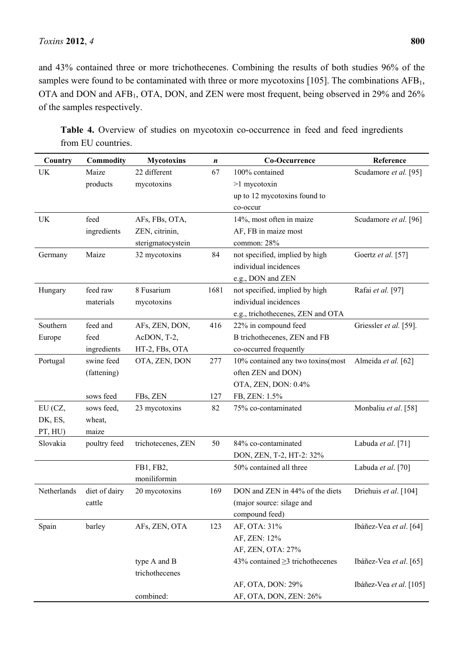and 43% contained three or more trichothecenes. Combining the results of both studies 96% of the samples were found to be contaminated with three or more mycotoxins [105]. The combinations  $AFB<sub>1</sub>$ , OTA and DON and AFB1, OTA, DON, and ZEN were most frequent, being observed in 29% and 26% of the samples respectively.

| Country     | <b>Commodity</b> | <b>Mycotoxins</b>  | n    | Co-Occurrence                         | Reference               |
|-------------|------------------|--------------------|------|---------------------------------------|-------------------------|
| UK          | Maize            | 22 different       | 67   | 100% contained                        | Scudamore et al. [95]   |
|             | products         | mycotoxins         |      | >1 mycotoxin                          |                         |
|             |                  |                    |      | up to 12 mycotoxins found to          |                         |
|             |                  |                    |      | co-occur                              |                         |
| <b>UK</b>   | feed             | AFs, FBs, OTA,     |      | 14%, most often in maize              | Scudamore et al. [96]   |
|             | ingredients      | ZEN, citrinin,     |      | AF, FB in maize most                  |                         |
|             |                  | sterigmatocystein  |      | common: 28%                           |                         |
| Germany     | Maize            | 32 mycotoxins      | 84   | not specified, implied by high        | Goertz et al. [57]      |
|             |                  |                    |      | individual incidences                 |                         |
|             |                  |                    |      | e.g., DON and ZEN                     |                         |
| Hungary     | feed raw         | 8 Fusarium         | 1681 | not specified, implied by high        | Rafai et al. [97]       |
|             | materials        | mycotoxins         |      | individual incidences                 |                         |
|             |                  |                    |      | e.g., trichothecenes, ZEN and OTA     |                         |
| Southern    | feed and         | AFs, ZEN, DON,     | 416  | 22% in compound feed                  | Griessler et al. [59].  |
| Europe      | feed             | AcDON, T-2,        |      | B trichothecenes, ZEN and FB          |                         |
|             | ingredients      | HT-2, FBs, OTA     |      | co-occurred frequently                |                         |
| Portugal    | swine feed       | OTA, ZEN, DON      | 277  | 10% contained any two toxins(most     | Almeida et al. [62]     |
|             | (fattening)      |                    |      | often ZEN and DON)                    |                         |
|             |                  |                    |      | OTA, ZEN, DON: 0.4%                   |                         |
|             | sows feed        | FBs, ZEN           | 127  | FB, ZEN: 1.5%                         |                         |
| EU (CZ,     | sows feed,       | 23 mycotoxins      | 82   | 75% co-contaminated                   | Monbaliu et al. [58]    |
| DK, ES,     | wheat,           |                    |      |                                       |                         |
| PT, HU)     | maize            |                    |      |                                       |                         |
| Slovakia    | poultry feed     | trichotecenes, ZEN | 50   | 84% co-contaminated                   | Labuda et al. [71]      |
|             |                  |                    |      | DON, ZEN, T-2, HT-2: 32%              |                         |
|             |                  | FB1, FB2,          |      | 50% contained all three               | Labuda et al. [70]      |
|             |                  | moniliformin       |      |                                       |                         |
| Netherlands | diet of dairy    | 20 mycotoxins      | 169  | DON and ZEN in 44% of the diets       | Driehuis et al. [104]   |
|             | cattle           |                    |      | (major source: silage and             |                         |
|             |                  |                    |      | compound feed)                        |                         |
| Spain       | barley           | AFs, ZEN, OTA      | 123  | AF, OTA: 31%                          | Ibáñez-Vea et al. [64]  |
|             |                  |                    |      | AF, ZEN: 12%                          |                         |
|             |                  |                    |      | AF, ZEN, OTA: 27%                     |                         |
|             |                  | type A and B       |      | 43% contained $\geq$ 3 trichothecenes | Ibáñez-Vea et al. [65]  |
|             |                  | trichothecenes     |      |                                       |                         |
|             |                  |                    |      | AF, OTA, DON: 29%                     | Ibáñez-Vea et al. [105] |
|             |                  | combined:          |      | AF, OTA, DON, ZEN: 26%                |                         |

Table 4. Overview of studies on mycotoxin co-occurrence in feed and feed ingredients from EU countries.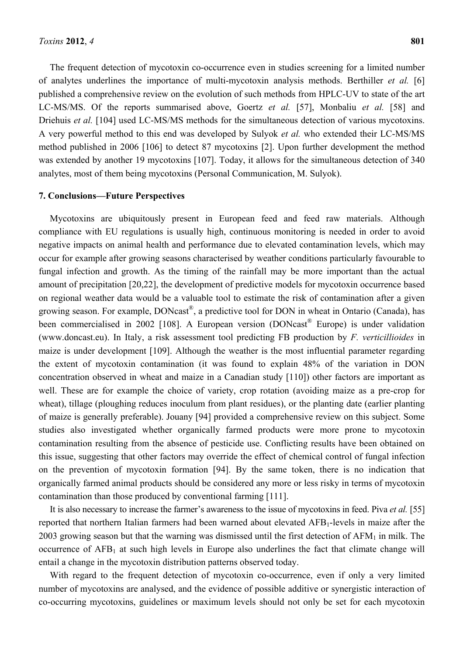The frequent detection of mycotoxin co-occurrence even in studies screening for a limited number of analytes underlines the importance of multi-mycotoxin analysis methods. Berthiller *et al.* [6] published a comprehensive review on the evolution of such methods from HPLC-UV to state of the art LC-MS/MS. Of the reports summarised above, Goertz *et al.* [57], Monbaliu *et al.* [58] and Driehuis *et al.* [104] used LC-MS/MS methods for the simultaneous detection of various mycotoxins. A very powerful method to this end was developed by Sulyok *et al.* who extended their LC-MS/MS method published in 2006 [106] to detect 87 mycotoxins [2]. Upon further development the method was extended by another 19 mycotoxins [107]. Today, it allows for the simultaneous detection of 340 analytes, most of them being mycotoxins (Personal Communication, M. Sulyok).

#### **7. Conclusions***—***Future Perspectives**

Mycotoxins are ubiquitously present in European feed and feed raw materials. Although compliance with EU regulations is usually high, continuous monitoring is needed in order to avoid negative impacts on animal health and performance due to elevated contamination levels, which may occur for example after growing seasons characterised by weather conditions particularly favourable to fungal infection and growth. As the timing of the rainfall may be more important than the actual amount of precipitation [20,22], the development of predictive models for mycotoxin occurrence based on regional weather data would be a valuable tool to estimate the risk of contamination after a given growing season. For example, DONcast®, a predictive tool for DON in wheat in Ontario (Canada), has been commercialised in 2002 [108]. A European version (DONcast® Europe) is under validation (www.doncast.eu). In Italy, a risk assessment tool predicting FB production by *F. verticillioides* in maize is under development [109]. Although the weather is the most influential parameter regarding the extent of mycotoxin contamination (it was found to explain 48% of the variation in DON concentration observed in wheat and maize in a Canadian study [110]) other factors are important as well. These are for example the choice of variety, crop rotation (avoiding maize as a pre-crop for wheat), tillage (ploughing reduces inoculum from plant residues), or the planting date (earlier planting of maize is generally preferable). Jouany [94] provided a comprehensive review on this subject. Some studies also investigated whether organically farmed products were more prone to mycotoxin contamination resulting from the absence of pesticide use. Conflicting results have been obtained on this issue, suggesting that other factors may override the effect of chemical control of fungal infection on the prevention of mycotoxin formation [94]. By the same token, there is no indication that organically farmed animal products should be considered any more or less risky in terms of mycotoxin contamination than those produced by conventional farming [111].

It is also necessary to increase the farmer's awareness to the issue of mycotoxins in feed. Piva *et al.* [55] reported that northern Italian farmers had been warned about elevated AFB<sub>1</sub>-levels in maize after the 2003 growing season but that the warning was dismissed until the first detection of  $AFM<sub>1</sub>$  in milk. The occurrence of  $AFB<sub>1</sub>$  at such high levels in Europe also underlines the fact that climate change will entail a change in the mycotoxin distribution patterns observed today.

With regard to the frequent detection of mycotoxin co-occurrence, even if only a very limited number of mycotoxins are analysed, and the evidence of possible additive or synergistic interaction of co-occurring mycotoxins, guidelines or maximum levels should not only be set for each mycotoxin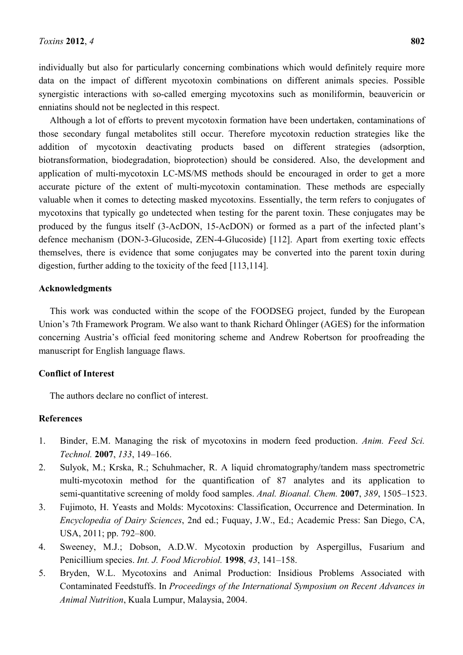individually but also for particularly concerning combinations which would definitely require more data on the impact of different mycotoxin combinations on different animals species. Possible synergistic interactions with so-called emerging mycotoxins such as moniliformin, beauvericin or enniatins should not be neglected in this respect.

Although a lot of efforts to prevent mycotoxin formation have been undertaken, contaminations of those secondary fungal metabolites still occur. Therefore mycotoxin reduction strategies like the addition of mycotoxin deactivating products based on different strategies (adsorption, biotransformation, biodegradation, bioprotection) should be considered. Also, the development and application of multi-mycotoxin LC-MS/MS methods should be encouraged in order to get a more accurate picture of the extent of multi-mycotoxin contamination. These methods are especially valuable when it comes to detecting masked mycotoxins. Essentially, the term refers to conjugates of mycotoxins that typically go undetected when testing for the parent toxin. These conjugates may be produced by the fungus itself (3-AcDON, 15-AcDON) or formed as a part of the infected plant's defence mechanism (DON-3-Glucoside, ZEN-4-Glucoside) [112]. Apart from exerting toxic effects themselves, there is evidence that some conjugates may be converted into the parent toxin during digestion, further adding to the toxicity of the feed [113,114].

# **Acknowledgments**

This work was conducted within the scope of the FOODSEG project, funded by the European Union's 7th Framework Program. We also want to thank Richard Öhlinger (AGES) for the information concerning Austria's official feed monitoring scheme and Andrew Robertson for proofreading the manuscript for English language flaws.

### **Conflict of Interest**

The authors declare no conflict of interest.

#### **References**

- 1. Binder, E.M. Managing the risk of mycotoxins in modern feed production. *Anim. Feed Sci. Technol.* **2007**, *133*, 149–166.
- 2. Sulyok, M.; Krska, R.; Schuhmacher, R. A liquid chromatography/tandem mass spectrometric multi-mycotoxin method for the quantification of 87 analytes and its application to semi-quantitative screening of moldy food samples. *Anal. Bioanal. Chem.* **2007**, *389*, 1505–1523.
- 3. Fujimoto, H. Yeasts and Molds: Mycotoxins: Classification, Occurrence and Determination. In *Encyclopedia of Dairy Sciences*, 2nd ed.; Fuquay, J.W., Ed.; Academic Press: San Diego, CA, USA, 2011; pp. 792–800.
- 4. Sweeney, M.J.; Dobson, A.D.W. Mycotoxin production by Aspergillus, Fusarium and Penicillium species. *Int. J. Food Microbiol.* **1998**, *43*, 141–158.
- 5. Bryden, W.L. Mycotoxins and Animal Production: Insidious Problems Associated with Contaminated Feedstuffs. In *Proceedings of the International Symposium on Recent Advances in Animal Nutrition*, Kuala Lumpur, Malaysia, 2004.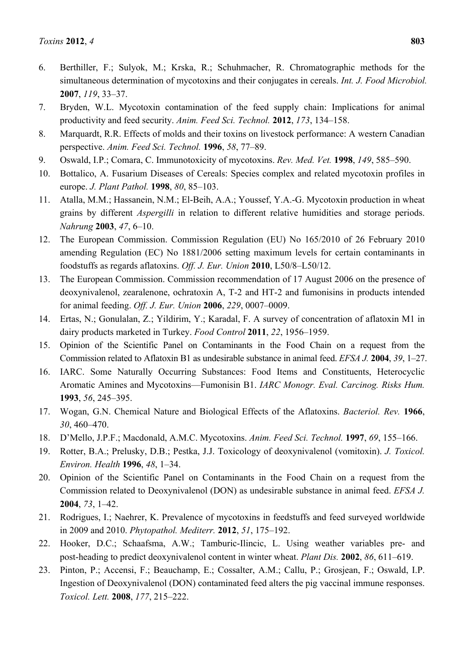- 6. Berthiller, F.; Sulyok, M.; Krska, R.; Schuhmacher, R. Chromatographic methods for the simultaneous determination of mycotoxins and their conjugates in cereals. *Int. J. Food Microbiol.*  **2007**, *119*, 33–37.
- 7. Bryden, W.L. Mycotoxin contamination of the feed supply chain: Implications for animal productivity and feed security. *Anim. Feed Sci. Technol.* **2012**, *173*, 134–158.
- 8. Marquardt, R.R. Effects of molds and their toxins on livestock performance: A western Canadian perspective. *Anim. Feed Sci. Technol.* **1996**, *58*, 77–89.
- 9. Oswald, I.P.; Comara, C. Immunotoxicity of mycotoxins. *Rev. Med. Vet.* **1998**, *149*, 585–590.
- 10. Bottalico, A. Fusarium Diseases of Cereals: Species complex and related mycotoxin profiles in europe. *J. Plant Pathol.* **1998**, *80*, 85–103.
- 11. Atalla, M.M.; Hassanein, N.M.; El-Beih, A.A.; Youssef, Y.A.-G. Mycotoxin production in wheat grains by different *Aspergilli* in relation to different relative humidities and storage periods. *Nahrung* **2003**, *47*, 6–10.
- 12. The European Commission. Commission Regulation (EU) No 165/2010 of 26 February 2010 amending Regulation (EC) No 1881/2006 setting maximum levels for certain contaminants in foodstuffs as regards aflatoxins. *Off. J. Eur. Union* **2010**, L50/8–L50/12.
- 13. The European Commission. Commission recommendation of 17 August 2006 on the presence of deoxynivalenol, zearalenone, ochratoxin A, T-2 and HT-2 and fumonisins in products intended for animal feeding. *Off. J. Eur. Union* **2006**, *229*, 0007–0009.
- 14. Ertas, N.; Gonulalan, Z.; Yildirim, Y.; Karadal, F. A survey of concentration of aflatoxin M1 in dairy products marketed in Turkey. *Food Control* **2011**, *22*, 1956–1959.
- 15. Opinion of the Scientific Panel on Contaminants in the Food Chain on a request from the Commission related to Aflatoxin B1 as undesirable substance in animal feed. *EFSA J.* **2004**, *39*, 1–27.
- 16. IARC. Some Naturally Occurring Substances: Food Items and Constituents, Heterocyclic Aromatic Amines and Mycotoxins—Fumonisin B1. *IARC Monogr. Eval. Carcinog. Risks Hum.*  **1993**, *56*, 245–395.
- 17. Wogan, G.N. Chemical Nature and Biological Effects of the Aflatoxins. *Bacteriol. Rev.* **1966**, *30*, 460–470.
- 18. D'Mello, J.P.F.; Macdonald, A.M.C. Mycotoxins. *Anim. Feed Sci. Technol.* **1997**, *69*, 155–166.
- 19. Rotter, B.A.; Prelusky, D.B.; Pestka, J.J. Toxicology of deoxynivalenol (vomitoxin). *J. Toxicol. Environ. Health* **1996**, *48*, 1*–*34.
- 20. Opinion of the Scientific Panel on Contaminants in the Food Chain on a request from the Commission related to Deoxynivalenol (DON) as undesirable substance in animal feed. *EFSA J.*  **2004**, *73*, 1*–*42.
- 21. Rodrigues, I.; Naehrer, K. Prevalence of mycotoxins in feedstuffs and feed surveyed worldwide in 2009 and 2010. *Phytopathol. Mediterr.* **2012**, *51*, 175*–*192.
- 22. Hooker, D.C.; Schaafsma, A.W.; Tamburic-Ilincic, L. Using weather variables pre- and post-heading to predict deoxynivalenol content in winter wheat. *Plant Dis.* **2002**, *86*, 611*–*619.
- 23. Pinton, P.; Accensi, F.; Beauchamp, E.; Cossalter, A.M.; Callu, P.; Grosjean, F.; Oswald, I.P. Ingestion of Deoxynivalenol (DON) contaminated feed alters the pig vaccinal immune responses. *Toxicol. Lett.* **2008**, *177*, 215*–*222.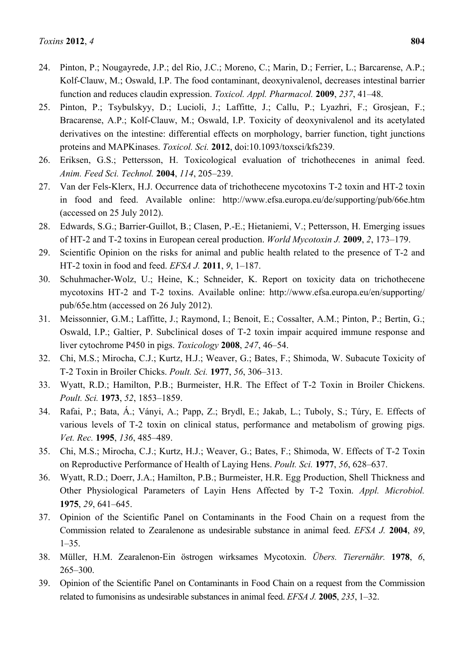- 24. Pinton, P.; Nougayrede, J.P.; del Rio, J.C.; Moreno, C.; Marin, D.; Ferrier, L.; Barcarense, A.P.; Kolf-Clauw, M.; Oswald, I.P. The food contaminant, deoxynivalenol, decreases intestinal barrier function and reduces claudin expression. *Toxicol. Appl. Pharmacol.* **2009**, *237*, 41*–*48.
- 25. Pinton, P.; Tsybulskyy, D.; Lucioli, J.; Laffitte, J.; Callu, P.; Lyazhri, F.; Grosjean, F.; Bracarense, A.P.; Kolf-Clauw, M.; Oswald, I.P. Toxicity of deoxynivalenol and its acetylated derivatives on the intestine: differential effects on morphology, barrier function, tight junctions proteins and MAPKinases. *Toxicol. Sci.* **2012**, doi:10.1093/toxsci/kfs239.
- 26. Eriksen, G.S.; Pettersson, H. Toxicological evaluation of trichothecenes in animal feed. *Anim. Feed Sci. Technol.* **2004**, *114*, 205*–*239.
- 27. Van der Fels-Klerx, H.J. Occurrence data of trichothecene mycotoxins T-2 toxin and HT-2 toxin in food and feed. Available online: http://www.efsa.europa.eu/de/supporting/pub/66e.htm (accessed on 25 July 2012).
- 28. Edwards, S.G.; Barrier-Guillot, B.; Clasen, P.-E.; Hietaniemi, V.; Pettersson, H. Emerging issues of HT-2 and T-2 toxins in European cereal production. *World Mycotoxin J.* **2009**, *2*, 173*–*179.
- 29. Scientific Opinion on the risks for animal and public health related to the presence of T-2 and HT-2 toxin in food and feed. *EFSA J.* **2011**, *9*, 1*–*187.
- 30. Schuhmacher-Wolz, U.; Heine, K.; Schneider, K. Report on toxicity data on trichothecene mycotoxins HT-2 and T-2 toxins. Available online: http://www.efsa.europa.eu/en/supporting/ pub/65e.htm (accessed on 26 July 2012).
- 31. Meissonnier, G.M.; Laffitte, J.; Raymond, I.; Benoit, E.; Cossalter, A.M.; Pinton, P.; Bertin, G.; Oswald, I.P.; Galtier, P. Subclinical doses of T-2 toxin impair acquired immune response and liver cytochrome P450 in pigs. *Toxicology* **2008**, *247*, 46*–*54.
- 32. Chi, M.S.; Mirocha, C.J.; Kurtz, H.J.; Weaver, G.; Bates, F.; Shimoda, W. Subacute Toxicity of T-2 Toxin in Broiler Chicks. *Poult. Sci.* **1977**, *56*, 306*–*313.
- 33. Wyatt, R.D.; Hamilton, P.B.; Burmeister, H.R. The Effect of T-2 Toxin in Broiler Chickens. *Poult. Sci.* **1973**, *52*, 1853*–*1859.
- 34. Rafai, P.; Bata, Á.; Ványi, A.; Papp, Z.; Brydl, E.; Jakab, L.; Tuboly, S.; Túry, E. Effects of various levels of T-2 toxin on clinical status, performance and metabolism of growing pigs. *Vet. Rec.* **1995**, *136*, 485*–*489.
- 35. Chi, M.S.; Mirocha, C.J.; Kurtz, H.J.; Weaver, G.; Bates, F.; Shimoda, W. Effects of T-2 Toxin on Reproductive Performance of Health of Laying Hens. *Poult. Sci.* **1977**, *56*, 628*–*637.
- 36. Wyatt, R.D.; Doerr, J.A.; Hamilton, P.B.; Burmeister, H.R. Egg Production, Shell Thickness and Other Physiological Parameters of Layin Hens Affected by T-2 Toxin. *Appl. Microbiol.*  **1975**, *29*, 641*–*645.
- 37. Opinion of the Scientific Panel on Contaminants in the Food Chain on a request from the Commission related to Zearalenone as undesirable substance in animal feed. *EFSA J.* **2004**, *89*, 1*–*35.
- 38. Müller, H.M. Zearalenon-Ein östrogen wirksames Mycotoxin. *Übers. Tierernähr.* **1978**, *6*, 265*–*300.
- 39. Opinion of the Scientific Panel on Contaminants in Food Chain on a request from the Commission related to fumonisins as undesirable substances in animal feed. *EFSA J.* **2005**, *235*, 1*–*32.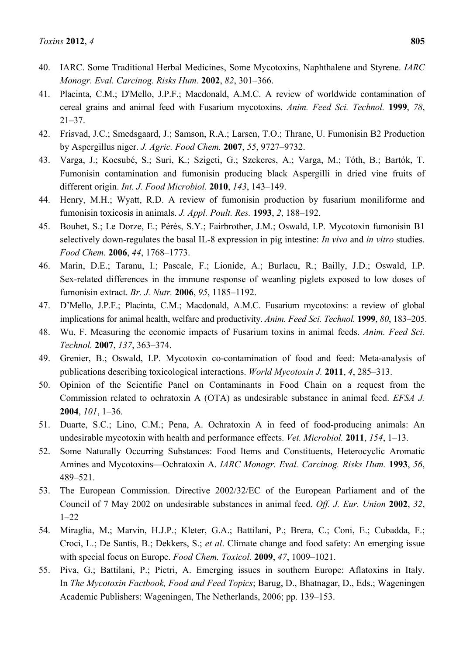- 40. IARC. Some Traditional Herbal Medicines, Some Mycotoxins, Naphthalene and Styrene. *IARC Monogr. Eval. Carcinog. Risks Hum.* **2002**, *82*, 301*–*366.
- 41. Placinta, C.M.; D'Mello, J.P.F.; Macdonald, A.M.C. A review of worldwide contamination of cereal grains and animal feed with Fusarium mycotoxins. *Anim. Feed Sci. Technol.* **1999**, *78*, 21*–*37.
- 42. Frisvad, J.C.; Smedsgaard, J.; Samson, R.A.; Larsen, T.O.; Thrane, U. Fumonisin B2 Production by Aspergillus niger. *J. Agric. Food Chem.* **2007**, *55*, 9727–9732.
- 43. Varga, J.; Kocsubé, S.; Suri, K.; Szigeti, G.; Szekeres, A.; Varga, M.; Tóth, B.; Bartók, T. Fumonisin contamination and fumonisin producing black Aspergilli in dried vine fruits of different origin. *Int. J. Food Microbiol.* **2010**, *143*, 143–149.
- 44. Henry, M.H.; Wyatt, R.D. A review of fumonisin production by fusarium moniliforme and fumonisin toxicosis in animals. *J. Appl. Poult. Res.* **1993**, *2*, 188*–*192.
- 45. Bouhet, S.; Le Dorze, E.; Pérès, S.Y.; Fairbrother, J.M.; Oswald, I.P. Mycotoxin fumonisin B1 selectively down-regulates the basal IL-8 expression in pig intestine: *In vivo* and *in vitro* studies. *Food Chem.* **2006**, *44*, 1768*–*1773.
- 46. Marin, D.E.; Taranu, I.; Pascale, F.; Lionide, A.; Burlacu, R.; Bailly, J.D.; Oswald, I.P. Sex-related differences in the immune response of weanling piglets exposed to low doses of fumonisin extract. *Br. J. Nutr.* **2006**, *95*, 1185–1192.
- 47. D'Mello, J.P.F.; Placinta, C.M.; Macdonald, A.M.C. Fusarium mycotoxins: a review of global implications for animal health, welfare and productivity. *Anim. Feed Sci. Technol.* **1999**, *80*, 183*–*205.
- 48. Wu, F. Measuring the economic impacts of Fusarium toxins in animal feeds. *Anim. Feed Sci. Technol.* **2007**, *137*, 363*–*374.
- 49. Grenier, B.; Oswald, I.P. Mycotoxin co-contamination of food and feed: Meta-analysis of publications describing toxicological interactions. *World Mycotoxin J.* **2011**, *4*, 285*–*313.
- 50. Opinion of the Scientific Panel on Contaminants in Food Chain on a request from the Commission related to ochratoxin A (OTA) as undesirable substance in animal feed. *EFSA J.*  **2004**, *101*, 1*–*36.
- 51. Duarte, S.C.; Lino, C.M.; Pena, A. Ochratoxin A in feed of food-producing animals: An undesirable mycotoxin with health and performance effects. *Vet. Microbiol.* **2011**, *154*, 1*–*13.
- 52. Some Naturally Occurring Substances: Food Items and Constituents, Heterocyclic Aromatic Amines and Mycotoxins—Ochratoxin A. *IARC Monogr. Eval. Carcinog. Risks Hum.* **1993**, *56*, 489*–*521.
- 53. The European Commission. Directive 2002/32/EC of the European Parliament and of the Council of 7 May 2002 on undesirable substances in animal feed. *Off. J. Eur. Union* **2002**, *32*,  $1 - 22$
- 54. Miraglia, M.; Marvin, H.J.P.; Kleter, G.A.; Battilani, P.; Brera, C.; Coni, E.; Cubadda, F.; Croci, L.; De Santis, B.; Dekkers, S.; *et al*. Climate change and food safety: An emerging issue with special focus on Europe. *Food Chem. Toxicol.* **2009**, *47*, 1009*–*1021.
- 55. Piva, G.; Battilani, P.; Pietri, A. Emerging issues in southern Europe: Aflatoxins in Italy. In *The Mycotoxin Factbook, Food and Feed Topics*; Barug, D., Bhatnagar, D., Eds.; Wageningen Academic Publishers: Wageningen, The Netherlands, 2006; pp. 139*–*153.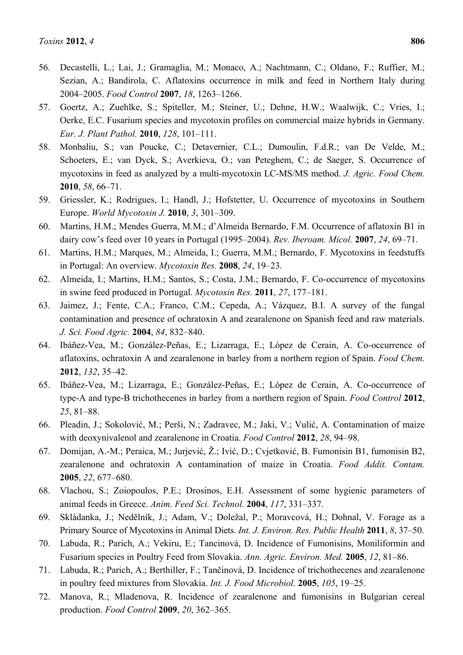- 56. Decastelli, L.; Lai, J.; Gramaglia, M.; Monaco, A.; Nachtmann, C.; Oldano, F.; Ruffier, M.; Sezian, A.; Bandirola, C. Aflatoxins occurrence in milk and feed in Northern Italy during 2004–2005. *Food Control* **2007**, *18*, 1263*–*1266.
- 57. Goertz, A.; Zuehlke, S.; Spiteller, M.; Steiner, U.; Dehne, H.W.; Waalwijk, C.; Vries, I.; Oerke, E.C. Fusarium species and mycotoxin profiles on commercial maize hybrids in Germany. *Eur. J. Plant Pathol.* **2010**, *128*, 101*–*111.
- 58. Monbaliu, S.; van Poucke, C.; Detavernier, C.L.; Dumoulin, F.d.R.; van De Velde, M.; Schoeters, E.; van Dyck, S.; Averkieva, O.; van Peteghem, C.; de Saeger, S. Occurrence of mycotoxins in feed as analyzed by a multi-mycotoxin LC-MS/MS method. *J. Agric. Food Chem.*  **2010**, *58*, 66*–*71.
- 59. Griessler, K.; Rodrigues, I.; Handl, J.; Hofstetter, U. Occurrence of mycotoxins in Southern Europe. *World Mycotoxin J.* **2010**, *3*, 301*–*309.
- 60. Martins, H.M.; Mendes Guerra, M.M.; d'Almeida Bernardo, F.M. Occurrence of aflatoxin B1 in dairy cow's feed over 10 years in Portugal (1995–2004). *Rev. Iberoam. Micol.* **2007**, *24*, 69–71.
- 61. Martins, H.M.; Marques, M.; Almeida, I.; Guerra, M.M.; Bernardo, F. Mycotoxins in feedstuffs in Portugal: An overview. *Mycotoxin Res.* **2008**, *24*, 19*–*23.
- 62. Almeida, I.; Martins, H.M.; Santos, S.; Costa, J.M.; Bernardo, F. Co-occurrence of mycotoxins in swine feed produced in Portugal. *Mycotoxin Res.* **2011**, *27*, 177*–*181.
- 63. Jaimez, J.; Fente, C.A.; Franco, C.M.; Cepeda, A.; Vázquez, B.I. A survey of the fungal contamination and presence of ochratoxin A and zearalenone on Spanish feed and raw materials. *J. Sci. Food Agric.* **2004**, *84*, 832*–*840.
- 64. Ibáñez-Vea, M.; González-Peñas, E.; Lizarraga, E.; López de Cerain, A. Co-occurrence of aflatoxins, ochratoxin A and zearalenone in barley from a northern region of Spain. *Food Chem.*  **2012**, *132*, 35*–*42.
- 65. Ibáñez-Vea, M.; Lizarraga, E.; González-Peñas, E.; López de Cerain, A. Co-occurrence of type-A and type-B trichothecenes in barley from a northern region of Spain. *Food Control* **2012**, *25*, 81*–*88.
- 66. Pleadin, J.; Sokolović, M.; Perši, N.; Zadravec, M.; Jaki, V.; Vulić, A. Contamination of maize with deoxynivalenol and zearalenone in Croatia. *Food Control* **2012**, *28*, 94–98.
- 67. Domijan, A.-M.; Peraica, M.; Jurjević, Ž.; Ivić, D.; Cvjetković, B. Fumonisin B1, fumonisin B2, zearalenone and ochratoxin A contamination of maize in Croatia. *Food Addit. Contam.*  **2005**, *22*, 677*–*680.
- 68. Vlachou, S.; Zoiopoulos, P.E.; Drosinos, E.H. Assessment of some hygienic parameters of animal feeds in Greece. *Anim. Feed Sci. Technol.* **2004**, *117*, 331*–*337.
- 69. Skládanka, J.; Nedělník, J.; Adam, V.; Doležal, P.; Moravcová, H.; Dohnal, V. Forage as a Primary Source of Mycotoxins in Animal Diets. *Int. J. Environ. Res. Public Health* **2011**, *8*, 37*–*50.
- 70. Labuda, R.; Parich, A.; Vekiru, E.; Tancinová, D. Incidence of Fumonisins, Moniliformin and Fusarium species in Poultry Feed from Slovakia. *Ann. Agric. Environ. Med.* **2005**, *12*, 81*–*86.
- 71. Labuda, R.; Parich, A.; Berthiller, F.; Tančinová, D. Incidence of trichothecenes and zearalenone in poultry feed mixtures from Slovakia. *Int. J. Food Microbiol.* **2005**, *105*, 19*–*25.
- 72. Manova, R.; Mladenova, R. Incidence of zearalenone and fumonisins in Bulgarian cereal production. *Food Control* **2009**, *20*, 362*–*365.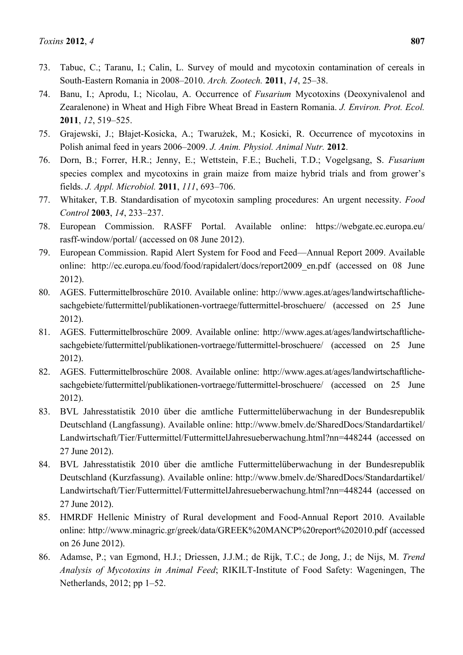- 73. Tabuc, C.; Taranu, I.; Calin, L. Survey of mould and mycotoxin contamination of cereals in South-Eastern Romania in 2008–2010. *Arch. Zootech.* **2011**, *14*, 25*–*38.
- 74. Banu, I.; Aprodu, I.; Nicolau, A. Occurrence of *Fusarium* Mycotoxins (Deoxynivalenol and Zearalenone) in Wheat and High Fibre Wheat Bread in Eastern Romania. *J. Environ. Prot. Ecol.*  **2011**, *12*, 519*–*525.
- 75. Grajewski, J.; Błajet-Kosicka, A.; Twarużek, M.; Kosicki, R. Occurrence of mycotoxins in Polish animal feed in years 2006–2009. *J. Anim. Physiol. Animal Nutr.* **2012**.
- 76. Dorn, B.; Forrer, H.R.; Jenny, E.; Wettstein, F.E.; Bucheli, T.D.; Vogelgsang, S. *Fusarium* species complex and mycotoxins in grain maize from maize hybrid trials and from grower's fields. *J. Appl. Microbiol.* **2011**, *111*, 693*–*706.
- 77. Whitaker, T.B. Standardisation of mycotoxin sampling procedures: An urgent necessity. *Food Control* **2003**, *14*, 233*–*237.
- 78. European Commission. RASFF Portal. Available online: https://webgate.ec.europa.eu/ rasff-window/portal/ (accessed on 08 June 2012).
- 79. European Commission. Rapid Alert System for Food and Feed—Annual Report 2009. Available online: http://ec.europa.eu/food/food/rapidalert/docs/report2009 en.pdf (accessed on 08 June 2012).
- 80. AGES. Futtermittelbroschüre 2010. Available online: http://www.ages.at/ages/landwirtschaftlichesachgebiete/futtermittel/publikationen-vortraege/futtermittel-broschuere/ (accessed on 25 June 2012).
- 81. AGES. Futtermittelbroschüre 2009. Available online: http://www.ages.at/ages/landwirtschaftlichesachgebiete/futtermittel/publikationen-vortraege/futtermittel-broschuere/ (accessed on 25 June 2012).
- 82. AGES. Futtermittelbroschüre 2008. Available online: http://www.ages.at/ages/landwirtschaftlichesachgebiete/futtermittel/publikationen-vortraege/futtermittel-broschuere/ (accessed on 25 June 2012).
- 83. BVL Jahresstatistik 2010 über die amtliche Futtermittelüberwachung in der Bundesrepublik Deutschland (Langfassung). Available online: http://www.bmelv.de/SharedDocs/Standardartikel/ Landwirtschaft/Tier/Futtermittel/FuttermittelJahresueberwachung.html?nn=448244 (accessed on 27 June 2012).
- 84. BVL Jahresstatistik 2010 über die amtliche Futtermittelüberwachung in der Bundesrepublik Deutschland (Kurzfassung). Available online: http://www.bmelv.de/SharedDocs/Standardartikel/ Landwirtschaft/Tier/Futtermittel/FuttermittelJahresueberwachung.html?nn=448244 (accessed on 27 June 2012).
- 85. HMRDF Hellenic Ministry of Rural development and Food-Annual Report 2010. Available online: http://www.minagric.gr/greek/data/GREEK%20MANCP%20report%202010.pdf (accessed on 26 June 2012).
- 86. Adamse, P.; van Egmond, H.J.; Driessen, J.J.M.; de Rijk, T.C.; de Jong, J.; de Nijs, M. *Trend Analysis of Mycotoxins in Animal Feed*; RIKILT-Institute of Food Safety: Wageningen, The Netherlands, 2012; pp 1–52.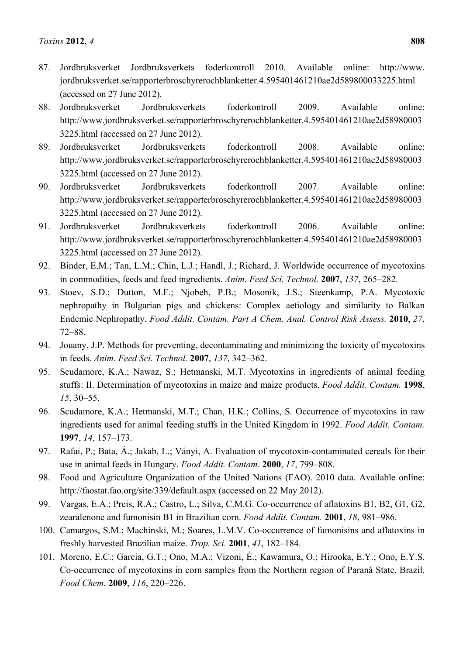- 87. Jordbruksverket Jordbruksverkets foderkontroll 2010. Available online: http://www. jordbruksverket.se/rapporterbroschyrerochblanketter.4.595401461210ae2d589800033225.html (accessed on 27 June 2012).
- 88. Jordbruksverket Jordbruksverkets foderkontroll 2009. Available online: http://www.jordbruksverket.se/rapporterbroschyrerochblanketter.4.595401461210ae2d58980003 3225.html (accessed on 27 June 2012).
- 89. Jordbruksverket Jordbruksverkets foderkontroll 2008. Available online: http://www.jordbruksverket.se/rapporterbroschyrerochblanketter.4.595401461210ae2d58980003 3225.html (accessed on 27 June 2012).
- 90. Jordbruksverket Jordbruksverkets foderkontroll 2007. Available online: http://www.jordbruksverket.se/rapporterbroschyrerochblanketter.4.595401461210ae2d58980003 3225.html (accessed on 27 June 2012).
- 91. Jordbruksverket Jordbruksverkets foderkontroll 2006. Available online: http://www.jordbruksverket.se/rapporterbroschyrerochblanketter.4.595401461210ae2d58980003 3225.html (accessed on 27 June 2012).
- 92. Binder, E.M.; Tan, L.M.; Chin, L.J.; Handl, J.; Richard, J. Worldwide occurrence of mycotoxins in commodities, feeds and feed ingredients. *Anim. Feed Sci. Technol.* **2007**, *137*, 265*–*282.
- 93. Stoev, S.D.; Dutton, M.F.; Njobeh, P.B.; Mosonik, J.S.; Steenkamp, P.A. Mycotoxic nephropathy in Bulgarian pigs and chickens: Complex aetiology and similarity to Balkan Endemic Nephropathy. *Food Addit. Contam. Part A Chem. Anal. Control Risk Assess.* **2010**, *27*, 72*–*88.
- 94. Jouany, J.P. Methods for preventing, decontaminating and minimizing the toxicity of mycotoxins in feeds. *Anim. Feed Sci. Technol.* **2007**, *137*, 342*–*362.
- 95. Scudamore, K.A.; Nawaz, S.; Hetmanski, M.T. Mycotoxins in ingredients of animal feeding stuffs: II. Determination of mycotoxins in maize and maize products. *Food Addit. Contam.* **1998**, *15*, 30*–*55.
- 96. Scudamore, K.A.; Hetmanski, M.T.; Chan, H.K.; Collins, S. Occurrence of mycotoxins in raw ingredients used for animal feeding stuffs in the United Kingdom in 1992. *Food Addit. Contam.*  **1997**, *14*, 157*–*173.
- 97. Rafai, P.; Bata, Á.; Jakab, L.; Ványi, A. Evaluation of mycotoxin-contaminated cereals for their use in animal feeds in Hungary. *Food Addit. Contam.* **2000**, *17*, 799*–*808.
- 98. Food and Agriculture Organization of the United Nations (FAO). 2010 data. Available online: http://faostat.fao.org/site/339/default.aspx (accessed on 22 May 2012).
- 99. Vargas, E.A.; Preis, R.A.; Castro, L.; Silva, C.M.G. Co-occurrence of aflatoxins B1, B2, G1, G2, zearalenone and fumonisin B1 in Brazilian corn. *Food Addit. Contam.* **2001**, *18*, 981*–*986.
- 100. Camargos, S.M.; Machinski, M.; Soares, L.M.V. Co-occurrence of fumonisins and aflatoxins in freshly harvested Brazilian maize. *Trop. Sci.* **2001**, *41*, 182*–*184.
- 101. Moreno, E.C.; Garcia, G.T.; Ono, M.A.; Vizoni, É.; Kawamura, O.; Hirooka, E.Y.; Ono, E.Y.S. Co-occurrence of mycotoxins in corn samples from the Northern region of Paraná State, Brazil. *Food Chem.* **2009**, *116*, 220*–*226.